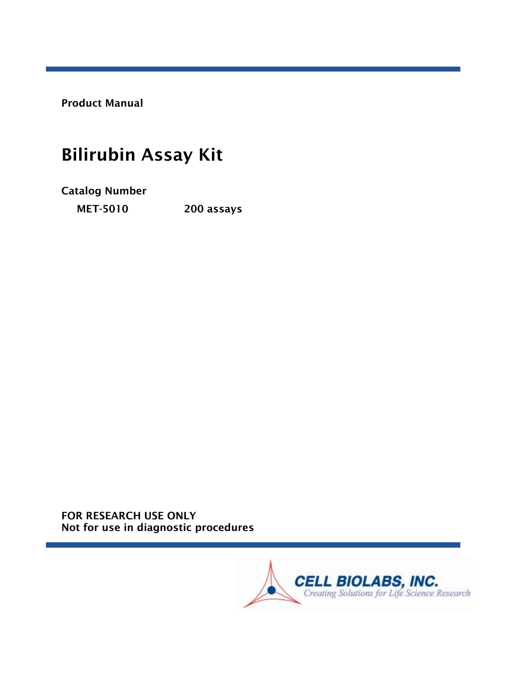Product Manual

# Bilirubin Assay Kit

Catalog Number

MET-5010 200 assays

FOR RESEARCH USE ONLY Not for use in diagnostic procedures

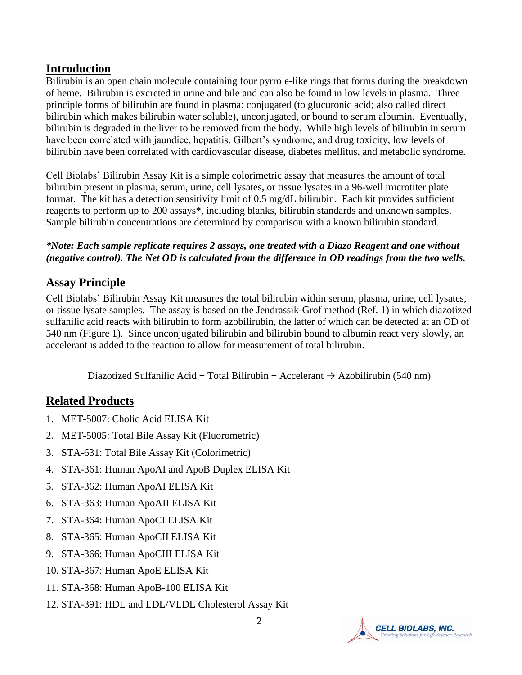#### **Introduction**

Bilirubin is an open chain molecule containing four pyrrole-like rings that forms during the breakdown of heme. Bilirubin is excreted in urine and bile and can also be found in low levels in plasma. Three principle forms of bilirubin are found in plasma: conjugated (to glucuronic acid; also called direct bilirubin which makes bilirubin water soluble), unconjugated, or bound to serum albumin. Eventually, bilirubin is degraded in the liver to be removed from the body. While high levels of bilirubin in serum have been correlated with jaundice, hepatitis, Gilbert's syndrome, and drug toxicity, low levels of bilirubin have been correlated with cardiovascular disease, diabetes mellitus, and metabolic syndrome.

Cell Biolabs' Bilirubin Assay Kit is a simple colorimetric assay that measures the amount of total bilirubin present in plasma, serum, urine, cell lysates, or tissue lysates in a 96-well microtiter plate format. The kit has a detection sensitivity limit of 0.5 mg/dL bilirubin. Each kit provides sufficient reagents to perform up to 200 assays\*, including blanks, bilirubin standards and unknown samples. Sample bilirubin concentrations are determined by comparison with a known bilirubin standard.

#### *\*Note: Each sample replicate requires 2 assays, one treated with a Diazo Reagent and one without (negative control). The Net OD is calculated from the difference in OD readings from the two wells.*

## **Assay Principle**

Cell Biolabs' Bilirubin Assay Kit measures the total bilirubin within serum, plasma, urine, cell lysates, or tissue lysate samples. The assay is based on the Jendrassik-Grof method (Ref. 1) in which diazotized sulfanilic acid reacts with bilirubin to form azobilirubin, the latter of which can be detected at an OD of 540 nm (Figure 1). Since unconjugated bilirubin and bilirubin bound to albumin react very slowly, an accelerant is added to the reaction to allow for measurement of total bilirubin.

Diazotized Sulfanilic Acid + Total Bilirubin + Accelerant  $\rightarrow$  Azobilirubin (540 nm)

## **Related Products**

- 1. MET-5007: Cholic Acid ELISA Kit
- 2. MET-5005: Total Bile Assay Kit (Fluorometric)
- 3. STA-631: Total Bile Assay Kit (Colorimetric)
- 4. STA-361: Human ApoAI and ApoB Duplex ELISA Kit
- 5. STA-362: Human ApoAI ELISA Kit
- 6. STA-363: Human ApoAII ELISA Kit
- 7. STA-364: Human ApoCI ELISA Kit
- 8. STA-365: Human ApoCII ELISA Kit
- 9. STA-366: Human ApoCIII ELISA Kit
- 10. STA-367: Human ApoE ELISA Kit
- 11. STA-368: Human ApoB-100 ELISA Kit
- 12. STA-391: HDL and LDL/VLDL Cholesterol Assay Kit

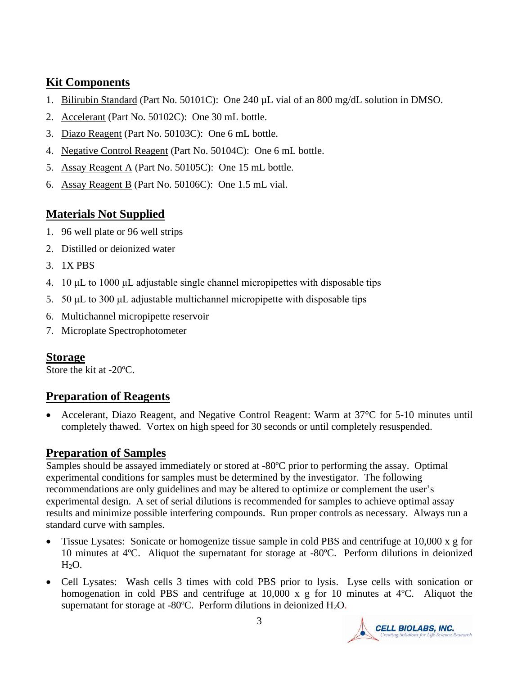## **Kit Components**

- 1. Bilirubin Standard (Part No. 50101C): One 240 µL vial of an 800 mg/dL solution in DMSO.
- 2. Accelerant (Part No. 50102C): One 30 mL bottle.
- 3. Diazo Reagent (Part No. 50103C): One 6 mL bottle.
- 4. Negative Control Reagent (Part No. 50104C): One 6 mL bottle.
- 5. Assay Reagent A (Part No. 50105C): One 15 mL bottle.
- 6. Assay Reagent B (Part No. 50106C): One 1.5 mL vial.

# **Materials Not Supplied**

- 1. 96 well plate or 96 well strips
- 2. Distilled or deionized water
- 3. 1X PBS
- 4. 10 μL to 1000 μL adjustable single channel micropipettes with disposable tips
- 5. 50 μL to 300 μL adjustable multichannel micropipette with disposable tips
- 6. Multichannel micropipette reservoir
- 7. Microplate Spectrophotometer

## **Storage**

Store the kit at -20ºC.

# **Preparation of Reagents**

• Accelerant, Diazo Reagent, and Negative Control Reagent: Warm at 37°C for 5-10 minutes until completely thawed. Vortex on high speed for 30 seconds or until completely resuspended.

## **Preparation of Samples**

Samples should be assayed immediately or stored at -80ºC prior to performing the assay. Optimal experimental conditions for samples must be determined by the investigator. The following recommendations are only guidelines and may be altered to optimize or complement the user's experimental design. A set of serial dilutions is recommended for samples to achieve optimal assay results and minimize possible interfering compounds. Run proper controls as necessary. Always run a standard curve with samples.

- Tissue Lysates: Sonicate or homogenize tissue sample in cold PBS and centrifuge at 10,000 x g for 10 minutes at 4ºC. Aliquot the supernatant for storage at -80ºC. Perform dilutions in deionized H<sub>2</sub>O.
- Cell Lysates: Wash cells 3 times with cold PBS prior to lysis. Lyse cells with sonication or homogenation in cold PBS and centrifuge at 10,000 x g for 10 minutes at 4<sup>o</sup>C. Aliquot the supernatant for storage at -80°C. Perform dilutions in deionized H<sub>2</sub>O.

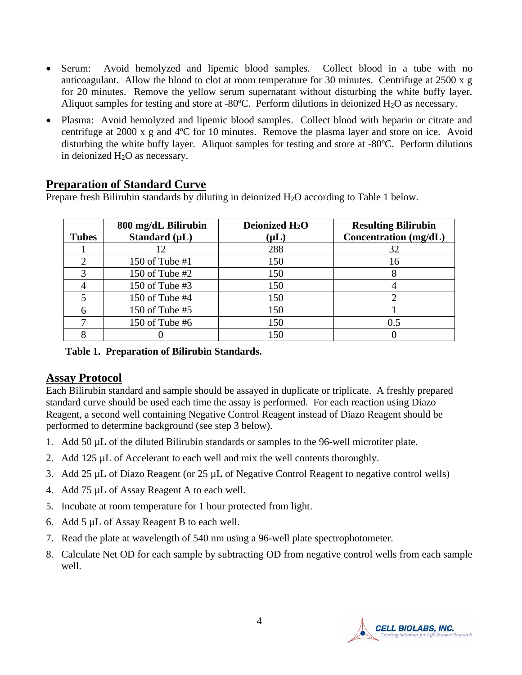- Serum: Avoid hemolyzed and lipemic blood samples. Collect blood in a tube with no anticoagulant. Allow the blood to clot at room temperature for 30 minutes. Centrifuge at 2500 x g for 20 minutes. Remove the yellow serum supernatant without disturbing the white buffy layer. Aliquot samples for testing and store at -80 $^{\circ}$ C. Perform dilutions in deionized H<sub>2</sub>O as necessary.
- Plasma: Avoid hemolyzed and lipemic blood samples. Collect blood with heparin or citrate and centrifuge at 2000 x g and 4ºC for 10 minutes. Remove the plasma layer and store on ice. Avoid disturbing the white buffy layer. Aliquot samples for testing and store at -80ºC. Perform dilutions in deionized  $H_2O$  as necessary.

## **Preparation of Standard Curve**

Prepare fresh Bilirubin standards by diluting in deionized H<sub>2</sub>O according to Table 1 below.

| <b>Tubes</b> | 800 mg/dL Bilirubin<br>Standard $(\mu L)$ | Deionized H <sub>2</sub> O<br>$(\mathsf{\mu L})$ | <b>Resulting Bilirubin</b><br>Concentration (mg/dL) |
|--------------|-------------------------------------------|--------------------------------------------------|-----------------------------------------------------|
|              | 12                                        | 288                                              | 32                                                  |
|              | 150 of Tube #1                            | 150                                              | 16                                                  |
|              | 150 of Tube $#2$                          | 150                                              |                                                     |
|              | 150 of Tube #3                            | 150                                              |                                                     |
|              | 150 of Tube #4                            | 150                                              |                                                     |
|              | 150 of Tube #5                            | 150                                              |                                                     |
|              | 150 of Tube #6                            | 150                                              | 0.5                                                 |
|              |                                           | 150                                              |                                                     |

#### **Table 1. Preparation of Bilirubin Standards.**

#### **Assay Protocol**

Each Bilirubin standard and sample should be assayed in duplicate or triplicate. A freshly prepared standard curve should be used each time the assay is performed. For each reaction using Diazo Reagent, a second well containing Negative Control Reagent instead of Diazo Reagent should be performed to determine background (see step 3 below).

- 1. Add 50 µL of the diluted Bilirubin standards or samples to the 96-well microtiter plate.
- 2. Add 125 µL of Accelerant to each well and mix the well contents thoroughly.
- 3. Add 25 µL of Diazo Reagent (or 25 µL of Negative Control Reagent to negative control wells)
- 4. Add 75 µL of Assay Reagent A to each well.
- 5. Incubate at room temperature for 1 hour protected from light.
- 6. Add 5 µL of Assay Reagent B to each well.
- 7. Read the plate at wavelength of 540 nm using a 96-well plate spectrophotometer.
- 8. Calculate Net OD for each sample by subtracting OD from negative control wells from each sample well.

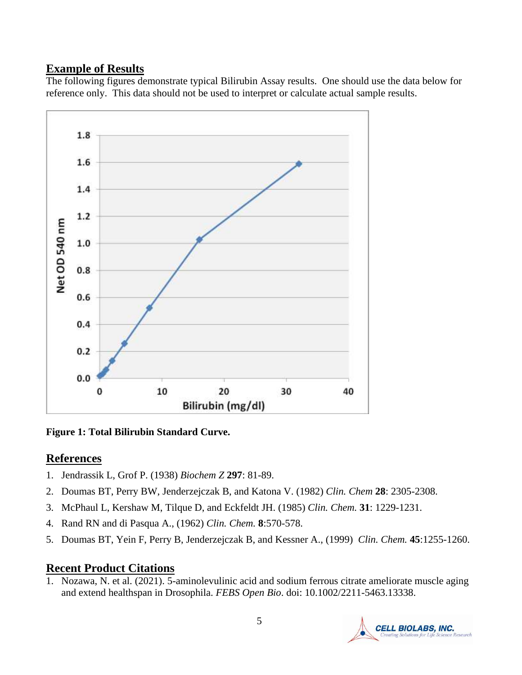## **Example of Results**

The following figures demonstrate typical Bilirubin Assay results. One should use the data below for reference only. This data should not be used to interpret or calculate actual sample results.



**Figure 1: Total Bilirubin Standard Curve.** 

## **References**

- 1. Jendrassik L, Grof P. (1938) *Biochem Z* **297**: 81-89.
- 2. Doumas BT, Perry BW, Jenderzejczak B, and Katona V. (1982) *Clin. Chem* **28**: 2305-2308.
- 3. McPhaul L, Kershaw M, Tilque D, and Eckfeldt JH. (1985) *Clin. Chem.* **31**: 1229-1231.
- 4. Rand RN and di Pasqua A., (1962) *Clin. Chem.* **8**:570-578.
- 5. Doumas BT, Yein F, Perry B, Jenderzejczak B, and Kessner A., (1999) *Clin. Chem.* **45**:1255-1260.

## **Recent Product Citations**

1. Nozawa, N. et al. (2021). 5-aminolevulinic acid and sodium ferrous citrate ameliorate muscle aging and extend healthspan in Drosophila. *FEBS Open Bio*. doi: 10.1002/2211-5463.13338.